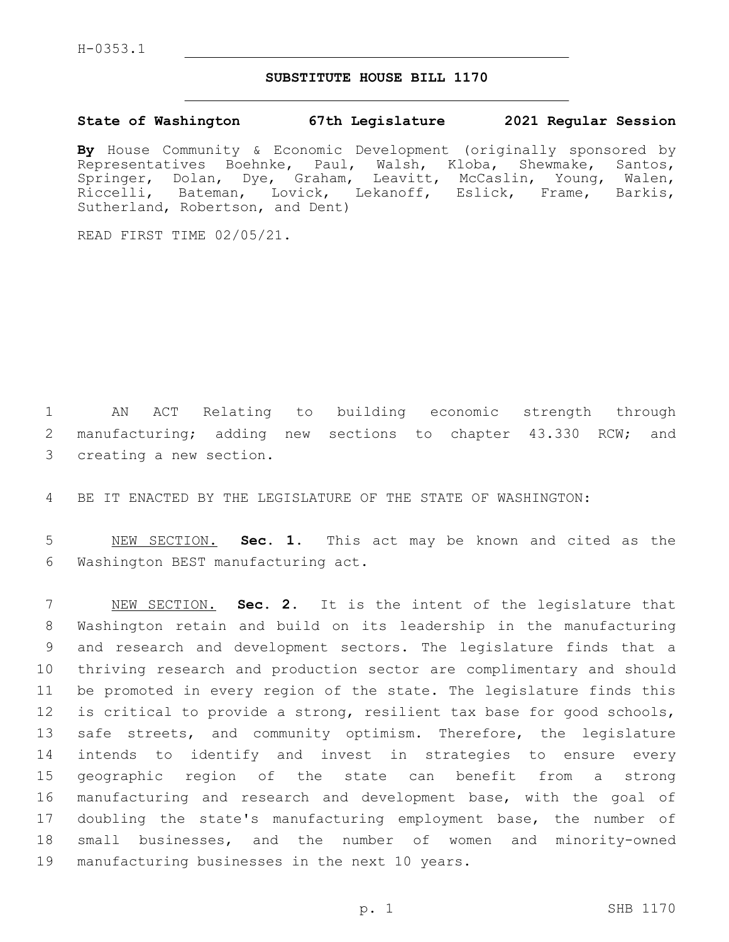## **SUBSTITUTE HOUSE BILL 1170**

## **State of Washington 67th Legislature 2021 Regular Session**

**By** House Community & Economic Development (originally sponsored by Representatives Boehnke, Paul, Walsh, Kloba, Shewmake, Santos, Springer, Dolan, Dye, Graham, Leavitt, McCaslin, Young, Walen, Riccelli, Bateman, Lovick, Lekanoff, Eslick, Frame, Barkis, Sutherland, Robertson, and Dent)

READ FIRST TIME 02/05/21.

1 AN ACT Relating to building economic strength through 2 manufacturing; adding new sections to chapter 43.330 RCW; and 3 creating a new section.

4 BE IT ENACTED BY THE LEGISLATURE OF THE STATE OF WASHINGTON:

5 NEW SECTION. **Sec. 1.** This act may be known and cited as the 6 Washington BEST manufacturing act.

 NEW SECTION. **Sec. 2.** It is the intent of the legislature that Washington retain and build on its leadership in the manufacturing and research and development sectors. The legislature finds that a thriving research and production sector are complimentary and should be promoted in every region of the state. The legislature finds this is critical to provide a strong, resilient tax base for good schools, 13 safe streets, and community optimism. Therefore, the legislature intends to identify and invest in strategies to ensure every geographic region of the state can benefit from a strong manufacturing and research and development base, with the goal of doubling the state's manufacturing employment base, the number of small businesses, and the number of women and minority-owned manufacturing businesses in the next 10 years.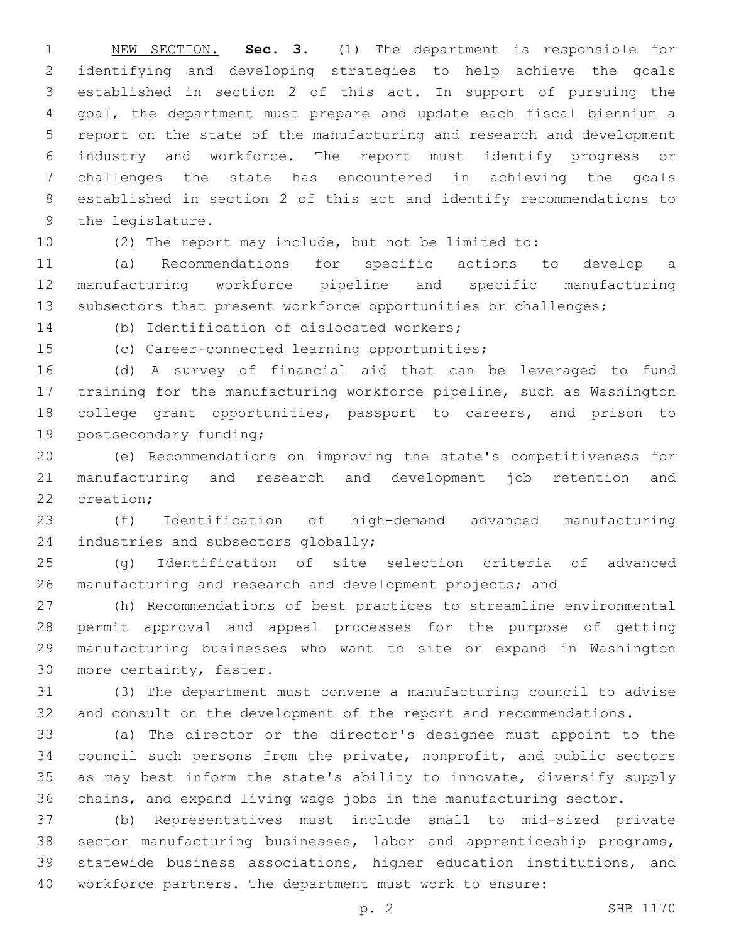NEW SECTION. **Sec. 3.** (1) The department is responsible for identifying and developing strategies to help achieve the goals established in section 2 of this act. In support of pursuing the goal, the department must prepare and update each fiscal biennium a report on the state of the manufacturing and research and development industry and workforce. The report must identify progress or challenges the state has encountered in achieving the goals established in section 2 of this act and identify recommendations to the legislature.

(2) The report may include, but not be limited to:

 (a) Recommendations for specific actions to develop a manufacturing workforce pipeline and specific manufacturing 13 subsectors that present workforce opportunities or challenges;

14 (b) Identification of dislocated workers;

15 (c) Career-connected learning opportunities;

 (d) A survey of financial aid that can be leveraged to fund training for the manufacturing workforce pipeline, such as Washington college grant opportunities, passport to careers, and prison to 19 postsecondary funding;

 (e) Recommendations on improving the state's competitiveness for manufacturing and research and development job retention and 22 creation:

 (f) Identification of high-demand advanced manufacturing 24 industries and subsectors globally;

 (g) Identification of site selection criteria of advanced 26 manufacturing and research and development projects; and

 (h) Recommendations of best practices to streamline environmental permit approval and appeal processes for the purpose of getting manufacturing businesses who want to site or expand in Washington 30 more certainty, faster.

 (3) The department must convene a manufacturing council to advise and consult on the development of the report and recommendations.

 (a) The director or the director's designee must appoint to the council such persons from the private, nonprofit, and public sectors as may best inform the state's ability to innovate, diversify supply chains, and expand living wage jobs in the manufacturing sector.

 (b) Representatives must include small to mid-sized private sector manufacturing businesses, labor and apprenticeship programs, statewide business associations, higher education institutions, and workforce partners. The department must work to ensure: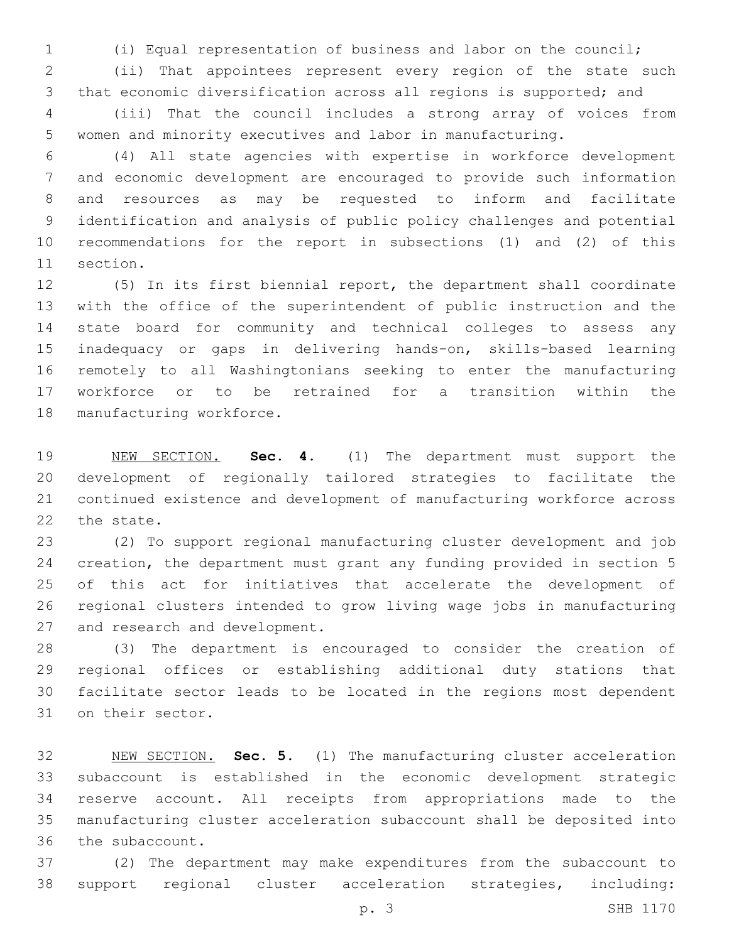(i) Equal representation of business and labor on the council;

 (ii) That appointees represent every region of the state such that economic diversification across all regions is supported; and

 (iii) That the council includes a strong array of voices from women and minority executives and labor in manufacturing.

 (4) All state agencies with expertise in workforce development and economic development are encouraged to provide such information and resources as may be requested to inform and facilitate identification and analysis of public policy challenges and potential recommendations for the report in subsections (1) and (2) of this 11 section.

 (5) In its first biennial report, the department shall coordinate with the office of the superintendent of public instruction and the state board for community and technical colleges to assess any inadequacy or gaps in delivering hands-on, skills-based learning remotely to all Washingtonians seeking to enter the manufacturing workforce or to be retrained for a transition within the 18 manufacturing workforce.

 NEW SECTION. **Sec. 4.** (1) The department must support the development of regionally tailored strategies to facilitate the continued existence and development of manufacturing workforce across the state.

 (2) To support regional manufacturing cluster development and job creation, the department must grant any funding provided in section 5 of this act for initiatives that accelerate the development of regional clusters intended to grow living wage jobs in manufacturing 27 and research and development.

 (3) The department is encouraged to consider the creation of regional offices or establishing additional duty stations that facilitate sector leads to be located in the regions most dependent 31 on their sector.

 NEW SECTION. **Sec. 5.** (1) The manufacturing cluster acceleration subaccount is established in the economic development strategic reserve account. All receipts from appropriations made to the manufacturing cluster acceleration subaccount shall be deposited into the subaccount.

 (2) The department may make expenditures from the subaccount to support regional cluster acceleration strategies, including:

p. 3 SHB 1170